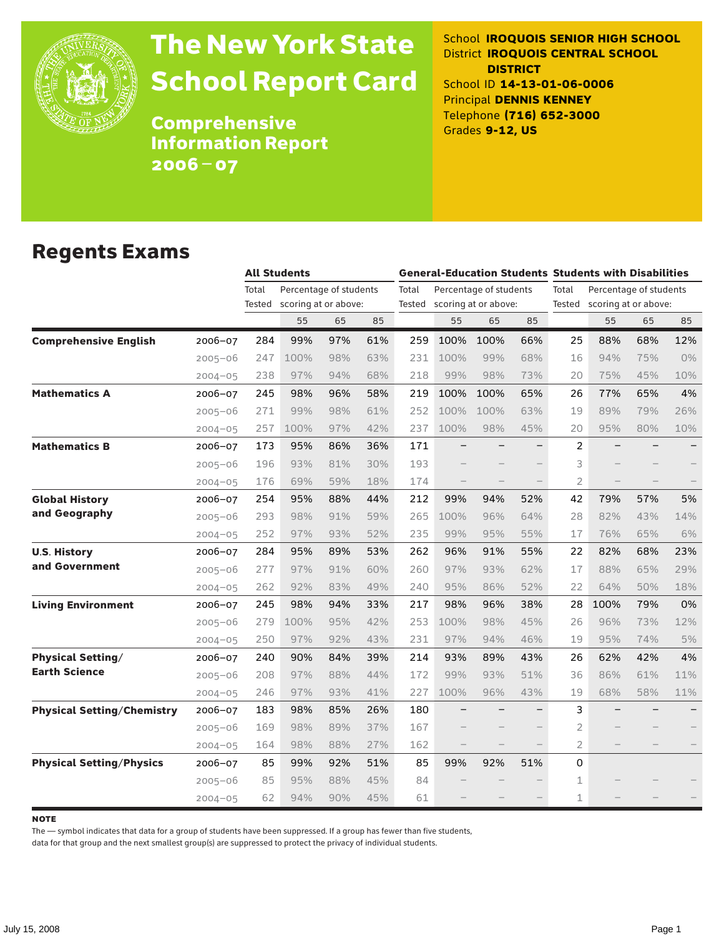

# The New York State School Report Card

School **IROQUOIS SENIOR HIGH SCHOOL** District **IROQUOIS CENTRAL SCHOOL DISTRICT** School ID **14-13-01-06-0006** Principal **DENNIS KENNEY** Telephone **(716) 652-3000** Grades **9-12, US**

**Comprehensive** Information Report 2006–07

#### Regents Exams

|                                   |             |                 | <b>All Students</b>                            |     |     |       | <b>General-Education Students Students with Disabilities</b> |                                                       |     |                |                                                       |     |     |  |
|-----------------------------------|-------------|-----------------|------------------------------------------------|-----|-----|-------|--------------------------------------------------------------|-------------------------------------------------------|-----|----------------|-------------------------------------------------------|-----|-----|--|
|                                   |             | Total<br>Tested | Percentage of students<br>scoring at or above: |     |     | Total |                                                              | Percentage of students<br>Tested scoring at or above: |     | Total          | Percentage of students<br>Tested scoring at or above: |     |     |  |
|                                   |             |                 | 55                                             | 65  | 85  |       | 55                                                           | 65                                                    | 85  |                | 55                                                    | 65  | 85  |  |
| <b>Comprehensive English</b>      | 2006-07     | 284             | 99%                                            | 97% | 61% | 259   | 100%                                                         | 100%                                                  | 66% | 25             | 88%                                                   | 68% | 12% |  |
|                                   | $2005 - 06$ | 247             | 100%                                           | 98% | 63% | 231   | 100%                                                         | 99%                                                   | 68% | 16             | 94%                                                   | 75% | 0%  |  |
|                                   | $2004 - 05$ | 238             | 97%                                            | 94% | 68% | 218   | 99%                                                          | 98%                                                   | 73% | 20             | 75%                                                   | 45% | 10% |  |
| <b>Mathematics A</b>              | 2006-07     | 245             | 98%                                            | 96% | 58% | 219   | 100%                                                         | 100%                                                  | 65% | 26             | 77%                                                   | 65% | 4%  |  |
|                                   | $2005 - 06$ | 271             | 99%                                            | 98% | 61% | 252   | 100%                                                         | 100%                                                  | 63% | 19             | 89%                                                   | 79% | 26% |  |
|                                   | $2004 - 05$ | 257             | 100%                                           | 97% | 42% | 237   | 100%                                                         | 98%                                                   | 45% | 20             | 95%                                                   | 80% | 10% |  |
| <b>Mathematics B</b>              | 2006-07     | 173             | 95%                                            | 86% | 36% | 171   |                                                              |                                                       |     | 2              |                                                       |     | -   |  |
|                                   | $2005 - 06$ | 196             | 93%                                            | 81% | 30% | 193   |                                                              |                                                       |     | 3              |                                                       |     |     |  |
|                                   | $2004 - 05$ | 176             | 69%                                            | 59% | 18% | 174   |                                                              |                                                       |     | $\overline{2}$ |                                                       |     |     |  |
| <b>Global History</b>             | 2006-07     | 254             | 95%                                            | 88% | 44% | 212   | 99%                                                          | 94%                                                   | 52% | 42             | 79%                                                   | 57% | 5%  |  |
| and Geography                     | $2005 - 06$ | 293             | 98%                                            | 91% | 59% | 265   | 100%                                                         | 96%                                                   | 64% | 28             | 82%                                                   | 43% | 14% |  |
|                                   | $2004 - 05$ | 252             | 97%                                            | 93% | 52% | 235   | 99%                                                          | 95%                                                   | 55% | 17             | 76%                                                   | 65% | 6%  |  |
| <b>U.S. History</b>               | 2006-07     | 284             | 95%                                            | 89% | 53% | 262   | 96%                                                          | 91%                                                   | 55% | 22             | 82%                                                   | 68% | 23% |  |
| and Government                    | $2005 - 06$ | 277             | 97%                                            | 91% | 60% | 260   | 97%                                                          | 93%                                                   | 62% | 17             | 88%                                                   | 65% | 29% |  |
|                                   | $2004 - 05$ | 262             | 92%                                            | 83% | 49% | 240   | 95%                                                          | 86%                                                   | 52% | 22             | 64%                                                   | 50% | 18% |  |
| <b>Living Environment</b>         | 2006-07     | 245             | 98%                                            | 94% | 33% | 217   | 98%                                                          | 96%                                                   | 38% | 28             | 100%                                                  | 79% | 0%  |  |
|                                   | $2005 - 06$ | 279             | 100%                                           | 95% | 42% | 253   | 100%                                                         | 98%                                                   | 45% | 26             | 96%                                                   | 73% | 12% |  |
|                                   | $2004 - 05$ | 250             | 97%                                            | 92% | 43% | 231   | 97%                                                          | 94%                                                   | 46% | 19             | 95%                                                   | 74% | 5%  |  |
| <b>Physical Setting/</b>          | 2006-07     | 240             | 90%                                            | 84% | 39% | 214   | 93%                                                          | 89%                                                   | 43% | 26             | 62%                                                   | 42% | 4%  |  |
| <b>Earth Science</b>              | $2005 - 06$ | 208             | 97%                                            | 88% | 44% | 172   | 99%                                                          | 93%                                                   | 51% | 36             | 86%                                                   | 61% | 11% |  |
|                                   | $2004 - 05$ | 246             | 97%                                            | 93% | 41% | 227   | 100%                                                         | 96%                                                   | 43% | 19             | 68%                                                   | 58% | 11% |  |
| <b>Physical Setting/Chemistry</b> | 2006-07     | 183             | 98%                                            | 85% | 26% | 180   |                                                              |                                                       |     | 3              |                                                       |     |     |  |
|                                   | $2005 - 06$ | 169             | 98%                                            | 89% | 37% | 167   |                                                              |                                                       |     | 2              |                                                       |     |     |  |
|                                   | $2004 - 05$ | 164             | 98%                                            | 88% | 27% | 162   |                                                              |                                                       |     | $\overline{2}$ |                                                       |     |     |  |
| <b>Physical Setting/Physics</b>   | 2006-07     | 85              | 99%                                            | 92% | 51% | 85    | 99%                                                          | 92%                                                   | 51% | 0              |                                                       |     |     |  |
|                                   | $2005 - 06$ | 85              | 95%                                            | 88% | 45% | 84    |                                                              |                                                       |     | $\mathbf 1$    |                                                       |     |     |  |
|                                   | $2004 - 05$ | 62              | 94%                                            | 90% | 45% | 61    |                                                              |                                                       |     | $\mathbf 1$    |                                                       |     |     |  |

**NOTE** 

The — symbol indicates that data for a group of students have been suppressed. If a group has fewer than five students,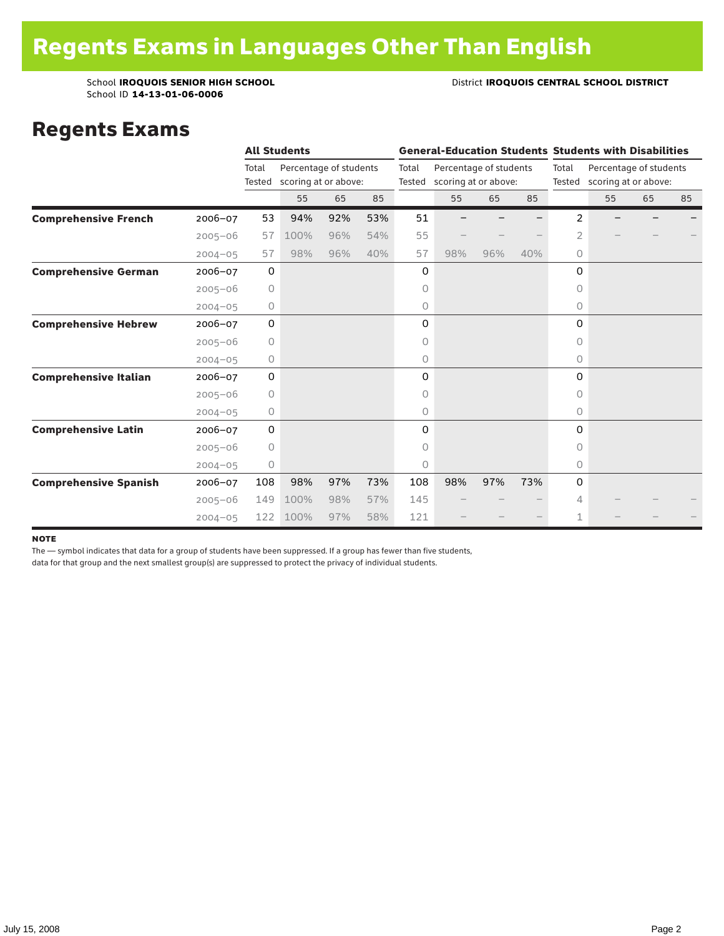School ID **14-13-01-06-0006**

#### School **IROQUOIS SENIOR HIGH SCHOOL District <b>IROQUOIS CENTRAL SCHOOL DISTRICT**

#### Regents Exams

|                              |             |                 | <b>All Students</b>                            |     |     |       | <b>General-Education Students Students with Disabilities</b> |                        |     |          |                                                       |    |    |  |
|------------------------------|-------------|-----------------|------------------------------------------------|-----|-----|-------|--------------------------------------------------------------|------------------------|-----|----------|-------------------------------------------------------|----|----|--|
|                              |             | Total<br>Tested | Percentage of students<br>scoring at or above: |     |     | Total | Tested scoring at or above:                                  | Percentage of students |     | Total    | Percentage of students<br>Tested scoring at or above: |    |    |  |
|                              |             |                 | 55                                             | 65  | 85  |       | 55                                                           | 65                     | 85  |          | 55                                                    | 65 | 85 |  |
| <b>Comprehensive French</b>  | $2006 - 07$ | 53              | 94%                                            | 92% | 53% | 51    |                                                              |                        |     | 2        |                                                       |    |    |  |
|                              | $2005 - 06$ | 57              | 100%                                           | 96% | 54% | 55    |                                                              |                        |     | 2        |                                                       |    |    |  |
|                              | $2004 - 05$ | 57              | 98%                                            | 96% | 40% | 57    | 98%                                                          | 96%                    | 40% | 0        |                                                       |    |    |  |
| <b>Comprehensive German</b>  | 2006-07     | 0               |                                                |     |     | 0     |                                                              |                        |     | 0        |                                                       |    |    |  |
|                              | $2005 - 06$ | $\circ$         |                                                |     |     | 0     |                                                              |                        |     | 0        |                                                       |    |    |  |
|                              | $2004 - 05$ | 0               |                                                |     |     | 0     |                                                              |                        |     | 0        |                                                       |    |    |  |
| <b>Comprehensive Hebrew</b>  | 2006-07     | $\mathbf 0$     |                                                |     |     | 0     |                                                              |                        |     | 0        |                                                       |    |    |  |
|                              | $2005 - 06$ | $\circ$         |                                                |     |     | 0     |                                                              |                        |     | $\Omega$ |                                                       |    |    |  |
|                              | $2004 - 05$ | 0               |                                                |     |     | 0     |                                                              |                        |     | $\circ$  |                                                       |    |    |  |
| <b>Comprehensive Italian</b> | 2006-07     | $\mathbf 0$     |                                                |     |     | 0     |                                                              |                        |     | 0        |                                                       |    |    |  |
|                              | $2005 - 06$ | $\circ$         |                                                |     |     | 0     |                                                              |                        |     | $\circ$  |                                                       |    |    |  |
|                              | $2004 - 05$ | 0               |                                                |     |     | 0     |                                                              |                        |     | $\circ$  |                                                       |    |    |  |
| <b>Comprehensive Latin</b>   | 2006-07     | 0               |                                                |     |     | 0     |                                                              |                        |     | 0        |                                                       |    |    |  |
|                              | $2005 - 06$ | $\circ$         |                                                |     |     | 0     |                                                              |                        |     | 0        |                                                       |    |    |  |
|                              | $2004 - 05$ | 0               |                                                |     |     | 0     |                                                              |                        |     | $\circ$  |                                                       |    |    |  |
| <b>Comprehensive Spanish</b> | $2006 - 07$ | 108             | 98%                                            | 97% | 73% | 108   | 98%                                                          | 97%                    | 73% | 0        |                                                       |    |    |  |
|                              | $2005 - 06$ | 149             | 100%                                           | 98% | 57% | 145   |                                                              |                        |     | 4        |                                                       |    |    |  |
|                              | $2004 - 05$ | 122             | 100%                                           | 97% | 58% | 121   |                                                              |                        |     | 1        |                                                       |    |    |  |

#### note

The — symbol indicates that data for a group of students have been suppressed. If a group has fewer than five students,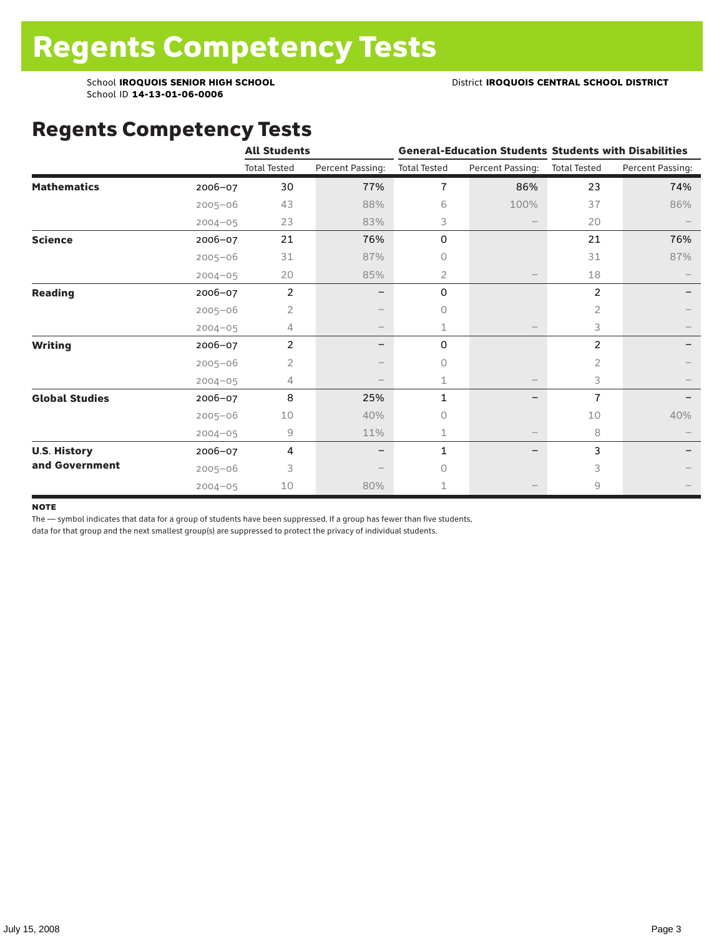### Regents Competency Tests

|                       |             | <b>All Students</b> |                  |                     |                   | <b>General-Education Students Students with Disabilities</b> |                  |  |
|-----------------------|-------------|---------------------|------------------|---------------------|-------------------|--------------------------------------------------------------|------------------|--|
|                       |             | <b>Total Tested</b> | Percent Passing: | <b>Total Tested</b> | Percent Passing:  | <b>Total Tested</b>                                          | Percent Passing: |  |
| <b>Mathematics</b>    | 2006-07     | 30                  | 77%              | $\overline{1}$      | 86%               | 23                                                           | 74%              |  |
|                       | $2005 - 06$ | 43                  | 88%              | 6                   | 100%              | 37                                                           | 86%              |  |
|                       | $2004 - 05$ | 23                  | 83%              | 3                   |                   | 20                                                           |                  |  |
| <b>Science</b>        | 2006-07     | 21                  | 76%              | 0                   |                   | 21                                                           | 76%              |  |
|                       | $2005 - 06$ | 31                  | 87%              | 0                   |                   | 31                                                           | 87%              |  |
|                       | $2004 - 05$ | 20                  | 85%              | 2                   |                   | 18                                                           |                  |  |
| <b>Reading</b>        | 2006-07     | $\overline{2}$      |                  | 0                   |                   | $\overline{2}$                                               |                  |  |
|                       | $2005 - 06$ | $\overline{2}$      |                  | 0                   |                   | 2                                                            |                  |  |
|                       | $2004 - 05$ | 4                   |                  | 1                   |                   | 3                                                            |                  |  |
| <b>Writing</b>        | 2006-07     | $\overline{2}$      | -                | 0                   |                   | 2                                                            |                  |  |
|                       | $2005 - 06$ | 2                   |                  | 0                   |                   | 2                                                            |                  |  |
|                       | $2004 - 05$ | 4                   |                  | 1                   |                   | 3                                                            |                  |  |
| <b>Global Studies</b> | 2006-07     | 8                   | 25%              | 1                   |                   | $\overline{1}$                                               |                  |  |
|                       | $2005 - 06$ | 10                  | 40%              | 0                   |                   | 10                                                           | 40%              |  |
|                       | $2004 - 05$ | 9                   | 11%              | 1                   | $\qquad \qquad -$ | 8                                                            |                  |  |
| <b>U.S. History</b>   | 2006-07     | 4                   |                  | 1                   |                   | 3                                                            |                  |  |
| and Government        | $2005 - 06$ | 3                   |                  | $\cap$              |                   | 3                                                            |                  |  |
|                       | $2004 - 05$ | 10                  | 80%              |                     |                   | 9                                                            |                  |  |

#### **NOTE**

The — symbol indicates that data for a group of students have been suppressed. If a group has fewer than five students,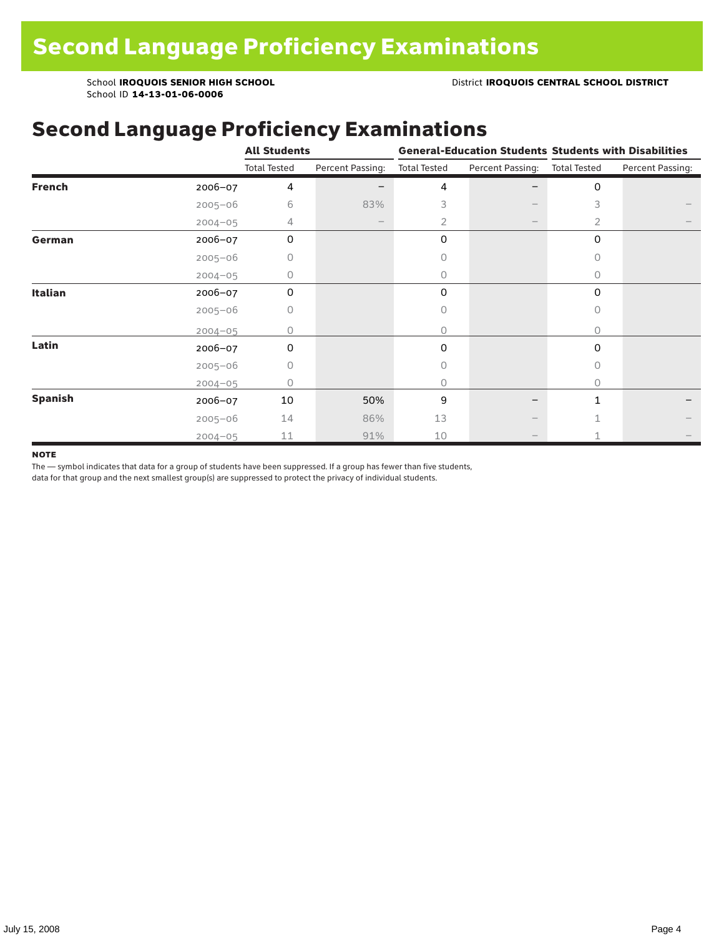### Second Language Proficiency Examinations

|                |             | <b>All Students</b> |                  |                     |                          | <b>General-Education Students Students with Disabilities</b> |                  |  |
|----------------|-------------|---------------------|------------------|---------------------|--------------------------|--------------------------------------------------------------|------------------|--|
|                |             | <b>Total Tested</b> | Percent Passing: | <b>Total Tested</b> | Percent Passing:         | <b>Total Tested</b>                                          | Percent Passing: |  |
| <b>French</b>  | 2006-07     | 4                   |                  | 4                   |                          | 0                                                            |                  |  |
|                | $2005 - 06$ | 6                   | 83%              | 3                   |                          | 3                                                            |                  |  |
|                | $2004 - 05$ | 4                   |                  | $\overline{2}$      | $\overline{\phantom{m}}$ | 2                                                            |                  |  |
| German         | 2006-07     | 0                   |                  | 0                   |                          | $\mathbf 0$                                                  |                  |  |
|                | $2005 - 06$ | 0                   |                  | Ω                   |                          | 0                                                            |                  |  |
|                | $2004 - 05$ | 0                   |                  | 0                   |                          | 0                                                            |                  |  |
| Italian        | 2006-07     | 0                   |                  | 0                   |                          | $\Omega$                                                     |                  |  |
|                | $2005 - 06$ | 0                   |                  | 0                   |                          | 0                                                            |                  |  |
|                | $2004 - 05$ | Ω                   |                  | 0                   |                          | 0                                                            |                  |  |
| Latin          | 2006-07     | $\Omega$            |                  | $\Omega$            |                          | $\Omega$                                                     |                  |  |
|                | $2005 - 06$ | 0                   |                  | 0                   |                          | 0                                                            |                  |  |
|                | $2004 - 05$ | 0                   |                  | 0                   |                          | 0                                                            |                  |  |
| <b>Spanish</b> | 2006-07     | 10                  | 50%              | 9                   |                          | 1                                                            |                  |  |
|                | $2005 - 06$ | 14                  | 86%              | 13                  |                          |                                                              |                  |  |
|                | $2004 - 05$ | 11                  | 91%              | 10                  |                          |                                                              |                  |  |

#### **NOTE**

The — symbol indicates that data for a group of students have been suppressed. If a group has fewer than five students,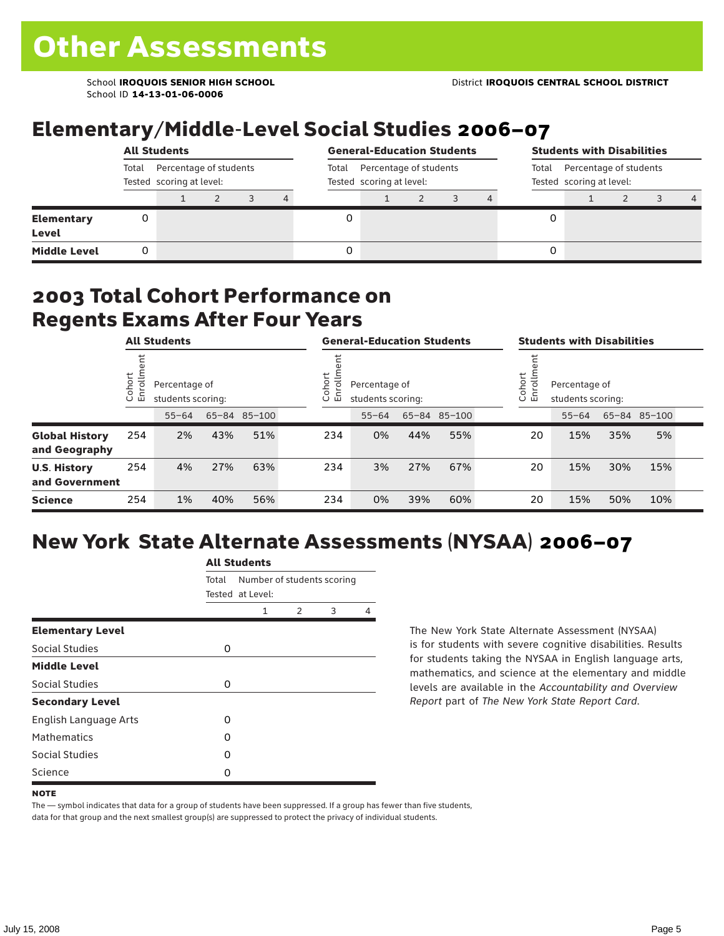## Elementary/Middle-Level Social Studies 2006–07

|                            | <b>All Students</b>                                         |  |  |                                                             |   |  | <b>General-Education Students</b> |                                                             |  |  | <b>Students with Disabilities</b> |  |  |  |                |
|----------------------------|-------------------------------------------------------------|--|--|-------------------------------------------------------------|---|--|-----------------------------------|-------------------------------------------------------------|--|--|-----------------------------------|--|--|--|----------------|
|                            | Percentage of students<br>Total<br>Tested scoring at level: |  |  | Percentage of students<br>Total<br>Tested scoring at level: |   |  |                                   | Percentage of students<br>Total<br>Tested scoring at level: |  |  |                                   |  |  |  |                |
|                            |                                                             |  |  |                                                             | 4 |  |                                   |                                                             |  |  |                                   |  |  |  | $\overline{a}$ |
| <b>Elementary</b><br>Level | 0                                                           |  |  |                                                             |   |  |                                   |                                                             |  |  |                                   |  |  |  |                |
| <b>Middle Level</b>        | 0                                                           |  |  |                                                             |   |  |                                   |                                                             |  |  | 0                                 |  |  |  |                |

#### 2003 Total Cohort Performance on Regents Exams After Four Years

|                                        |                       | <b>All Students</b>                |     |              | <b>General-Education Students</b>                           |           |     |              |                                                               | <b>Students with Disabilities</b> |           |     |              |  |
|----------------------------------------|-----------------------|------------------------------------|-----|--------------|-------------------------------------------------------------|-----------|-----|--------------|---------------------------------------------------------------|-----------------------------------|-----------|-----|--------------|--|
|                                        | ゼ<br>Cohoi<br>o,<br>屲 | Percentage of<br>students scoring: |     |              | Cohort<br>Ξ<br>Percentage of<br>ō<br>모<br>students scoring: |           |     |              | Cohort<br>$=$<br>Percentage of<br>9<br>문<br>students scoring: |                                   |           |     |              |  |
|                                        |                       | $55 - 64$                          |     | 65-84 85-100 |                                                             | $55 - 64$ |     | 65-84 85-100 |                                                               |                                   | $55 - 64$ |     | 65-84 85-100 |  |
| <b>Global History</b><br>and Geography | 254                   | 2%                                 | 43% | 51%          | 234                                                         | 0%        | 44% | 55%          |                                                               | 20                                | 15%       | 35% | 5%           |  |
| <b>U.S. History</b><br>and Government  | 254                   | 4%                                 | 27% | 63%          | 234                                                         | 3%        | 27% | 67%          |                                                               | 20                                | 15%       | 30% | 15%          |  |
| <b>Science</b>                         | 254                   | 1%                                 | 40% | 56%          | 234                                                         | 0%        | 39% | 60%          |                                                               | 20                                | 15%       | 50% | 10%          |  |

## New York State Alternate Assessments (NYSAA) 2006–07

|                              | <b>All Students</b> |                                                |               |   |   |  |  |  |  |
|------------------------------|---------------------|------------------------------------------------|---------------|---|---|--|--|--|--|
|                              | Total               | Number of students scoring<br>Tested at Level: |               |   |   |  |  |  |  |
|                              |                     | 1                                              | $\mathcal{P}$ | 3 | 4 |  |  |  |  |
| <b>Elementary Level</b>      |                     |                                                |               |   |   |  |  |  |  |
| Social Studies               | 0                   |                                                |               |   |   |  |  |  |  |
| <b>Middle Level</b>          |                     |                                                |               |   |   |  |  |  |  |
| Social Studies               | 0                   |                                                |               |   |   |  |  |  |  |
| <b>Secondary Level</b>       |                     |                                                |               |   |   |  |  |  |  |
| <b>English Language Arts</b> | O                   |                                                |               |   |   |  |  |  |  |
| <b>Mathematics</b>           | Ω                   |                                                |               |   |   |  |  |  |  |
| Social Studies               | O                   |                                                |               |   |   |  |  |  |  |
| Science                      | Ω                   |                                                |               |   |   |  |  |  |  |

The New York State Alternate Assessment (NYSAA) is for students with severe cognitive disabilities. Results for students taking the NYSAA in English language arts, mathematics, and science at the elementary and middle levels are available in the *Accountability and Overview Report* part of *The New York State Report Card*.

The — symbol indicates that data for a group of students have been suppressed. If a group has fewer than five students, data for that group and the next smallest group(s) are suppressed to protect the privacy of individual students.

**NOTE**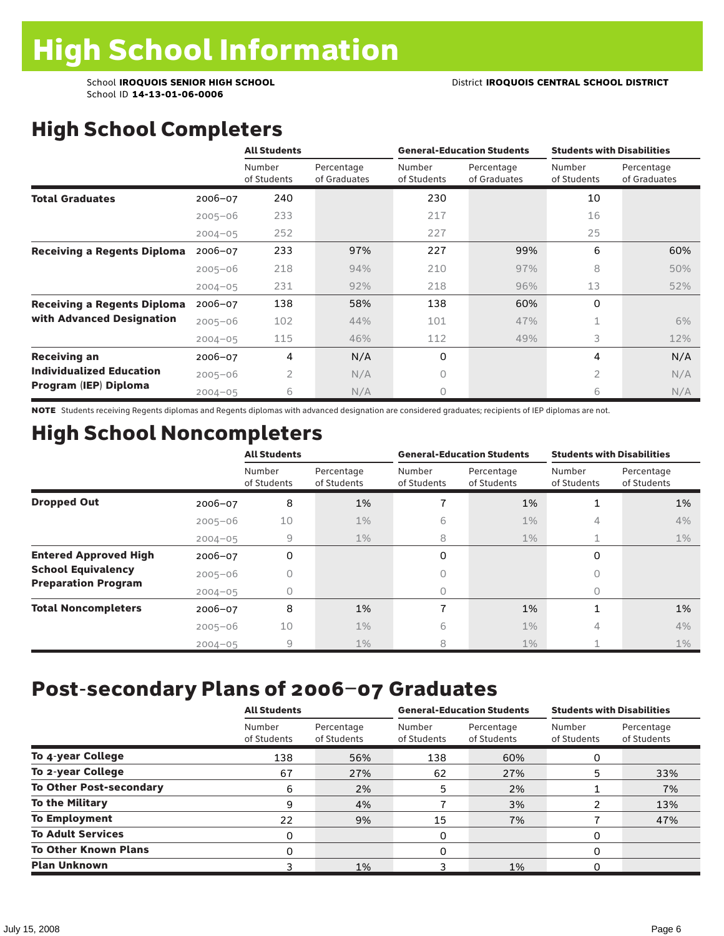# High School Completers

|                                    |             | <b>All Students</b>   |                            |                       | <b>General-Education Students</b> | <b>Students with Disabilities</b> |                            |  |
|------------------------------------|-------------|-----------------------|----------------------------|-----------------------|-----------------------------------|-----------------------------------|----------------------------|--|
|                                    |             | Number<br>of Students | Percentage<br>of Graduates | Number<br>of Students | Percentage<br>of Graduates        | Number<br>of Students             | Percentage<br>of Graduates |  |
| <b>Total Graduates</b>             | $2006 - 07$ | 240                   |                            | 230                   |                                   | 10                                |                            |  |
|                                    | $2005 - 06$ | 233                   |                            | 217                   |                                   | 16                                |                            |  |
|                                    | $2004 - 05$ | 252                   |                            | 227                   |                                   | 25                                |                            |  |
| <b>Receiving a Regents Diploma</b> | $2006 - 07$ | 233                   | 97%                        | 227                   | 99%                               | 6                                 | 60%                        |  |
|                                    | $2005 - 06$ | 218                   | 94%                        | 210                   | 97%                               | 8                                 | 50%                        |  |
|                                    | $2004 - 05$ | 231                   | 92%                        | 218                   | 96%                               | 13                                | 52%                        |  |
| <b>Receiving a Regents Diploma</b> | $2006 - 07$ | 138                   | 58%                        | 138                   | 60%                               | $\Omega$                          |                            |  |
| with Advanced Designation          | $2005 - 06$ | 102                   | 44%                        | 101                   | 47%                               | $\mathbf{1}$                      | 6%                         |  |
|                                    | $2004 - 05$ | 115                   | 46%                        | 112                   | 49%                               | 3                                 | 12%                        |  |
| <b>Receiving an</b>                | $2006 - 07$ | 4                     | N/A                        | 0                     |                                   | 4                                 | N/A                        |  |
| <b>Individualized Education</b>    | $2005 - 06$ | $\overline{2}$        | N/A                        | 0                     |                                   | $\overline{2}$                    | N/A                        |  |
| Program (IEP) Diploma              | $2004 - 05$ | 6                     | N/A                        | 0                     |                                   | 6                                 | N/A                        |  |

NOTE Students receiving Regents diplomas and Regents diplomas with advanced designation are considered graduates; recipients of IEP diplomas are not.

### High School Noncompleters

|                              |             | <b>All Students</b>   |                           |                       | <b>General-Education Students</b> | <b>Students with Disabilities</b> |                           |  |
|------------------------------|-------------|-----------------------|---------------------------|-----------------------|-----------------------------------|-----------------------------------|---------------------------|--|
|                              |             | Number<br>of Students | Percentage<br>of Students | Number<br>of Students | Percentage<br>of Students         | Number<br>of Students             | Percentage<br>of Students |  |
| <b>Dropped Out</b>           | 2006-07     | 8                     | 1%                        |                       | 1%                                | 1                                 | 1%                        |  |
|                              | $2005 - 06$ | 10                    | $1\%$                     | 6                     | $1\%$                             | 4                                 | 4%                        |  |
|                              | $2004 - 05$ | 9                     | $1\%$                     | 8                     | $1\%$                             | 1                                 | $1\%$                     |  |
| <b>Entered Approved High</b> | $2006 - 07$ | 0                     |                           | 0                     |                                   | 0                                 |                           |  |
| <b>School Equivalency</b>    | $2005 - 06$ |                       |                           | U                     |                                   | Ω                                 |                           |  |
| <b>Preparation Program</b>   | $2004 - 05$ | Ω                     |                           | 0                     |                                   | $\bigcap$                         |                           |  |
| <b>Total Noncompleters</b>   | 2006-07     | 8                     | 1%                        | 7                     | 1%                                | 1                                 | 1%                        |  |
|                              | $2005 - 06$ | 10                    | $1\%$                     | 6                     | $1\%$                             | 4                                 | 4%                        |  |
|                              | $2004 - 05$ | 9                     | $1\%$                     | 8                     | 1%                                |                                   | $1\%$                     |  |

### Post-secondary Plans of 2006–07 Graduates

|                                | <b>All Students</b>   |                           |                       | <b>General-Education Students</b> | <b>Students with Disabilities</b> |                           |  |
|--------------------------------|-----------------------|---------------------------|-----------------------|-----------------------------------|-----------------------------------|---------------------------|--|
|                                | Number<br>of Students | Percentage<br>of Students | Number<br>of Students | Percentage<br>of Students         | Number<br>of Students             | Percentage<br>of Students |  |
| To 4-year College              | 138                   | 56%                       | 138                   | 60%                               | Ω                                 |                           |  |
| To 2-year College              | 67                    | 27%                       | 62                    | 27%                               | 5                                 | 33%                       |  |
| <b>To Other Post-secondary</b> | 6                     | 2%                        | 5                     | 2%                                |                                   | 7%                        |  |
| <b>To the Military</b>         | 9                     | 4%                        |                       | 3%                                | າ                                 | 13%                       |  |
| <b>To Employment</b>           | 22                    | 9%                        | 15                    | 7%                                |                                   | 47%                       |  |
| <b>To Adult Services</b>       | 0                     |                           | 0                     |                                   | 0                                 |                           |  |
| <b>To Other Known Plans</b>    | 0                     |                           | 0                     |                                   | O                                 |                           |  |
| <b>Plan Unknown</b>            |                       | 1%                        |                       | 1%                                | O                                 |                           |  |